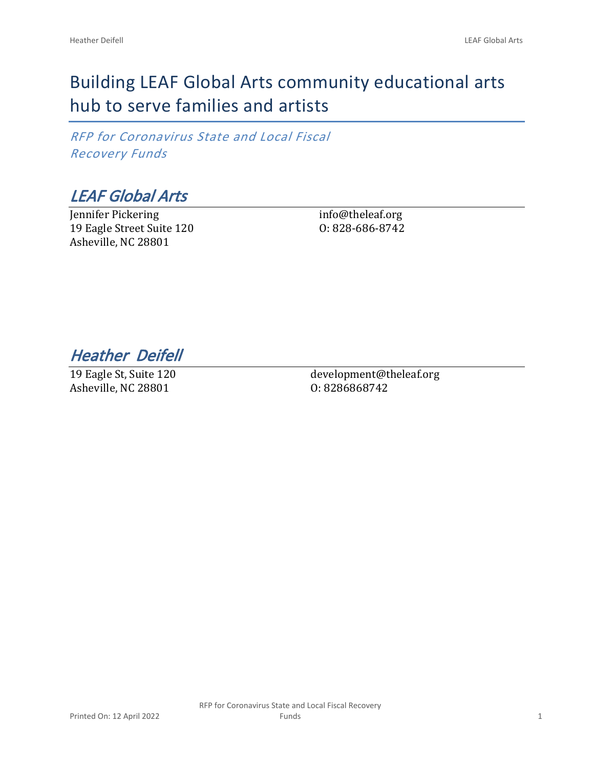# Building LEAF Global Arts community educational arts hub to serve families and artists

*RFP for Coronavirus State and Local Fiscal Recovery Funds*

*LEAF Global Arts*

Jennifer Pickering 19 Eagle Street Suite 120 Asheville, NC 28801

info@theleaf.org O: 828-686-8742

*Heather Deifell* 

19 Eagle St, Suite 120 Asheville, NC 28801

development@theleaf.org O: 8286868742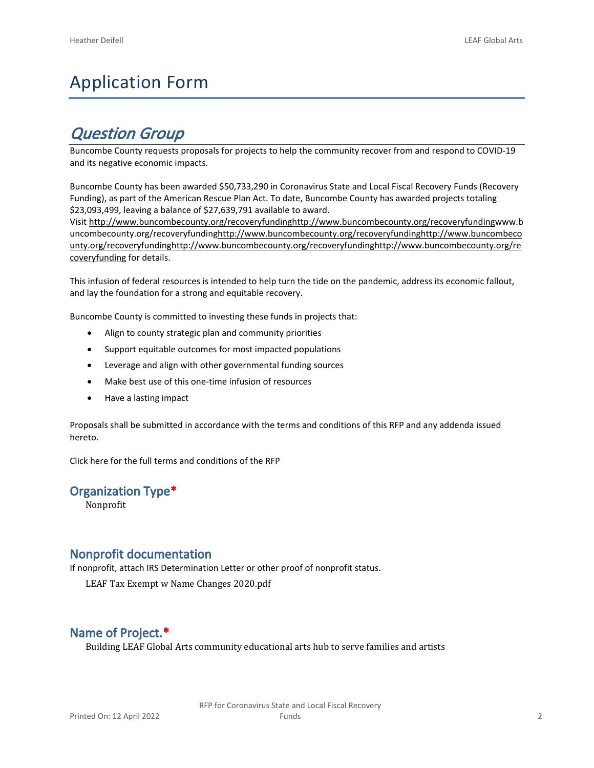# Application Form

# *Question Group*

Buncombe County requests proposals for projects to help the community recover from and respond to COVID-19 and its negative economic impacts.

Buncombe County has been awarded \$50,733,290 in Coronavirus State and Local Fiscal Recovery Funds (Recovery Funding), as part of the American Rescue Plan Act. To date, Buncombe County has awarded projects totaling \$23,093,499, leaving a balance of \$27,639,791 available to award.

Visit [http://www.buncombecounty.org/recoveryfundinghttp://www.buncombecounty.org/recoveryfundingwww.b](http://www.buncombecounty.org/recoveryfunding) [uncombecounty.org/recoveryfundinghttp://www.buncombecounty.org/recoveryfundinghttp://www.buncombeco](http://www.buncombecounty.org/recoveryfunding) [unty.org/recoveryfundinghttp://www.buncombecounty.org/recoveryfundinghttp://www.buncombecounty.org/re](http://www.buncombecounty.org/recoveryfunding) [coveryfunding](http://www.buncombecounty.org/recoveryfunding) for details.

This infusion of federal resources is intended to help turn the tide on the pandemic, address its economic fallout, and lay the foundation for a strong and equitable recovery.

Buncombe County is committed to investing these funds in projects that:

- Align to county strategic plan and community priorities
- Support equitable outcomes for most impacted populations
- Leverage and align with other governmental funding sources
- Make best use of this one-time infusion of resources
- Have a lasting impact

Proposals shall be submitted in accordance with the terms and conditions of this RFP and any addenda issued hereto.

Click [here](https://www.buncombecounty.org/common/purchasing/Buncombe%20Recovery%20Funding%20RFP%202022.pdf) for the full terms and conditions of the RFP

#### **Organization Type\***

Nonprofit

#### **Nonprofit documentation**

If nonprofit, attach IRS Determination Letter or other proof of nonprofit status.

LEAF Tax Exempt w Name Changes 2020.pdf

#### **Name of Project.\***

Building LEAF Global Arts community educational arts hub to serve families and artists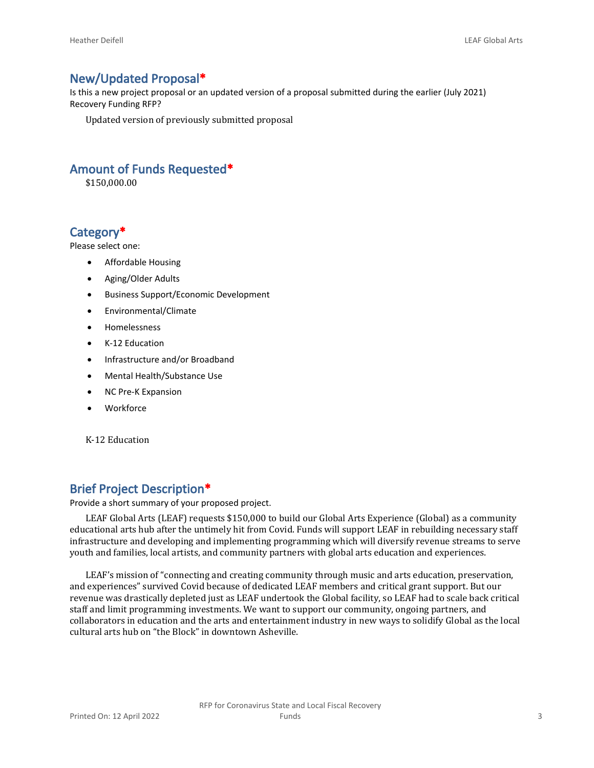#### **New/Updated Proposal\***

Is this a new project proposal or an updated version of a proposal submitted during the earlier (July 2021) Recovery Funding RFP?

Updated version of previously submitted proposal

#### **Amount of Funds Requested\***

\$150,000.00

#### **Category\***

Please select one:

- Affordable Housing
- Aging/Older Adults
- Business Support/Economic Development
- Environmental/Climate
- Homelessness
- K-12 Education
- Infrastructure and/or Broadband
- Mental Health/Substance Use
- NC Pre-K Expansion
- Workforce

K-12 Education

#### **Brief Project Description\***

Provide a short summary of your proposed project.

LEAF Global Arts (LEAF) requests \$150,000 to build our Global Arts Experience (Global) as a community educational arts hub after the untimely hit from Covid. Funds will support LEAF in rebuilding necessary staff infrastructure and developing and implementing programming which will diversify revenue streams to serve youth and families, local artists, and community partners with global arts education and experiences.

LEAF's mission of "connecting and creating community through music and arts education, preservation, and experiences" survived Covid because of dedicated LEAF members and critical grant support. But our revenue was drastically depleted just as LEAF undertook the Global facility, so LEAF had to scale back critical staff and limit programming investments. We want to support our community, ongoing partners, and collaborators in education and the arts and entertainment industry in new ways to solidify Global as the local cultural arts hub on "the Block" in downtown Asheville.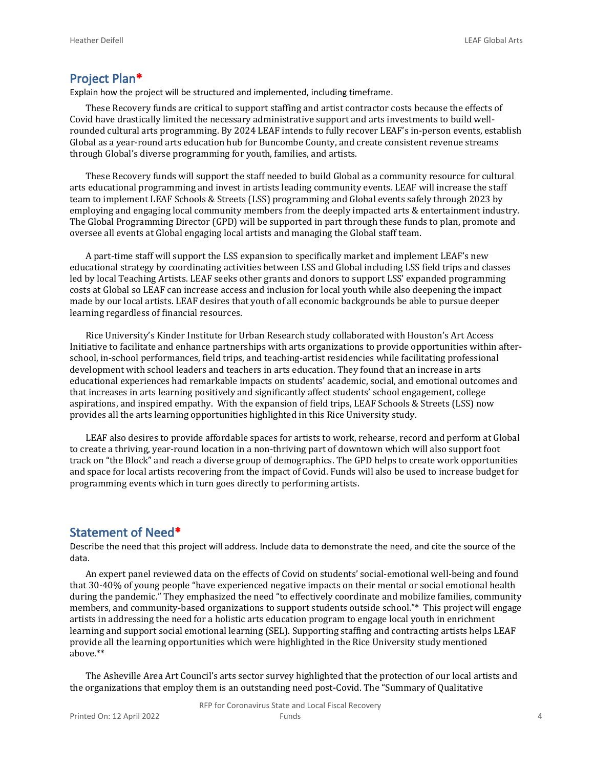#### **Project Plan\***

Explain how the project will be structured and implemented, including timeframe.

These Recovery funds are critical to support staffing and artist contractor costs because the effects of Covid have drastically limited the necessary administrative support and arts investments to build wellrounded cultural arts programming. By 2024 LEAF intends to fully recover LEAF's in-person events, establish Global as a year-round arts education hub for Buncombe County, and create consistent revenue streams through Global's diverse programming for youth, families, and artists.

These Recovery funds will support the staff needed to build Global as a community resource for cultural arts educational programming and invest in artists leading community events. LEAF will increase the staff team to implement LEAF Schools & Streets (LSS) programming and Global events safely through 2023 by employing and engaging local community members from the deeply impacted arts & entertainment industry. The Global Programming Director (GPD) will be supported in part through these funds to plan, promote and oversee all events at Global engaging local artists and managing the Global staff team.

A part-time staff will support the LSS expansion to specifically market and implement LEAF's new educational strategy by coordinating activities between LSS and Global including LSS field trips and classes led by local Teaching Artists. LEAF seeks other grants and donors to support LSS' expanded programming costs at Global so LEAF can increase access and inclusion for local youth while also deepening the impact made by our local artists. LEAF desires that youth of all economic backgrounds be able to pursue deeper learning regardless of financial resources.

Rice University's Kinder Institute for Urban Research study collaborated with Houston's Art Access Initiative to facilitate and enhance partnerships with arts organizations to provide opportunities within afterschool, in-school performances, field trips, and teaching-artist residencies while facilitating professional development with school leaders and teachers in arts education. They found that an increase in arts educational experiences had remarkable impacts on students' academic, social, and emotional outcomes and that increases in arts learning positively and significantly affect students' school engagement, college aspirations, and inspired empathy. With the expansion of field trips, LEAF Schools & Streets (LSS) now provides all the arts learning opportunities highlighted in this Rice University study.

LEAF also desires to provide affordable spaces for artists to work, rehearse, record and perform at Global to create a thriving, year-round location in a non-thriving part of downtown which will also support foot track on "the Block" and reach a diverse group of demographics. The GPD helps to create work opportunities and space for local artists recovering from the impact of Covid. Funds will also be used to increase budget for programming events which in turn goes directly to performing artists.

#### **Statement of Need\***

Describe the need that this project will address. Include data to demonstrate the need, and cite the source of the data.

An expert panel reviewed data on the effects of Covid on students' social-emotional well-being and found that 30-40% of young people "have experienced negative impacts on their mental or social emotional health during the pandemic." They emphasized the need "to effectively coordinate and mobilize families, community members, and community-based organizations to support students outside school."\* This project will engage artists in addressing the need for a holistic arts education program to engage local youth in enrichment learning and support social emotional learning (SEL). Supporting staffing and contracting artists helps LEAF provide all the learning opportunities which were highlighted in the Rice University study mentioned above.\*\*

The Asheville Area Art Council's arts sector survey highlighted that the protection of our local artists and the organizations that employ them is an outstanding need post-Covid. The "Summary of Qualitative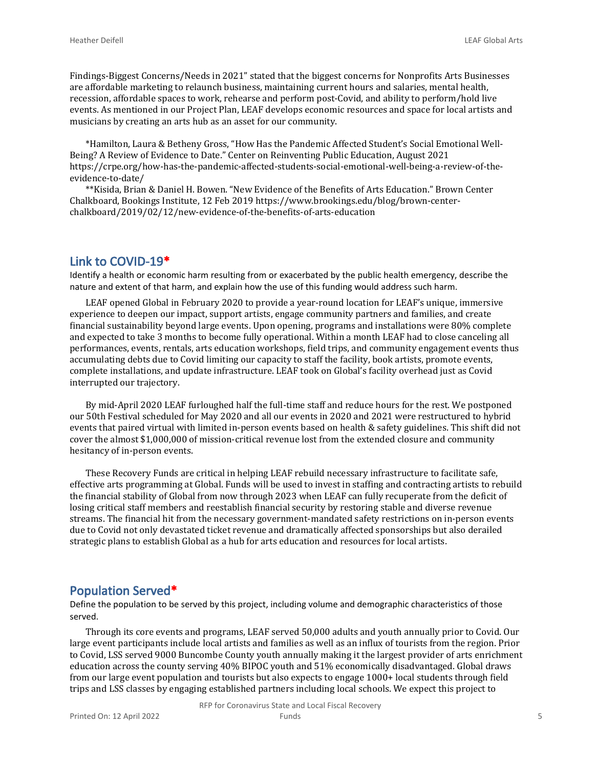Findings-Biggest Concerns/Needs in 2021" stated that the biggest concerns for Nonprofits Arts Businesses are affordable marketing to relaunch business, maintaining current hours and salaries, mental health, recession, affordable spaces to work, rehearse and perform post-Covid, and ability to perform/hold live events. As mentioned in our Project Plan, LEAF develops economic resources and space for local artists and musicians by creating an arts hub as an asset for our community.

\*Hamilton, Laura & Betheny Gross, "How Has the Pandemic Affected Student's Social Emotional Well-Being? A Review of Evidence to Date." Center on Reinventing Public Education, August 2021 https://crpe.org/how-has-the-pandemic-affected-students-social-emotional-well-being-a-review-of-theevidence-to-date/

\*\*Kisida, Brian & Daniel H. Bowen. "New Evidence of the Benefits of Arts Education." Brown Center Chalkboard, Bookings Institute, 12 Feb 2019 https://www.brookings.edu/blog/brown-centerchalkboard/2019/02/12/new-evidence-of-the-benefits-of-arts-education

#### **Link to COVID-19\***

Identify a health or economic harm resulting from or exacerbated by the public health emergency, describe the nature and extent of that harm, and explain how the use of this funding would address such harm.

LEAF opened Global in February 2020 to provide a year-round location for LEAF's unique, immersive experience to deepen our impact, support artists, engage community partners and families, and create financial sustainability beyond large events. Upon opening, programs and installations were 80% complete and expected to take 3 months to become fully operational. Within a month LEAF had to close canceling all performances, events, rentals, arts education workshops, field trips, and community engagement events thus accumulating debts due to Covid limiting our capacity to staff the facility, book artists, promote events, complete installations, and update infrastructure. LEAF took on Global's facility overhead just as Covid interrupted our trajectory.

By mid-April 2020 LEAF furloughed half the full-time staff and reduce hours for the rest. We postponed our 50th Festival scheduled for May 2020 and all our events in 2020 and 2021 were restructured to hybrid events that paired virtual with limited in-person events based on health & safety guidelines. This shift did not cover the almost \$1,000,000 of mission-critical revenue lost from the extended closure and community hesitancy of in-person events.

These Recovery Funds are critical in helping LEAF rebuild necessary infrastructure to facilitate safe, effective arts programming at Global. Funds will be used to invest in staffing and contracting artists to rebuild the financial stability of Global from now through 2023 when LEAF can fully recuperate from the deficit of losing critical staff members and reestablish financial security by restoring stable and diverse revenue streams. The financial hit from the necessary government-mandated safety restrictions on in-person events due to Covid not only devastated ticket revenue and dramatically affected sponsorships but also derailed strategic plans to establish Global as a hub for arts education and resources for local artists.

#### **Population Served\***

Define the population to be served by this project, including volume and demographic characteristics of those served.

Through its core events and programs, LEAF served 50,000 adults and youth annually prior to Covid. Our large event participants include local artists and families as well as an influx of tourists from the region. Prior to Covid, LSS served 9000 Buncombe County youth annually making it the largest provider of arts enrichment education across the county serving 40% BIPOC youth and 51% economically disadvantaged. Global draws from our large event population and tourists but also expects to engage 1000+ local students through field trips and LSS classes by engaging established partners including local schools. We expect this project to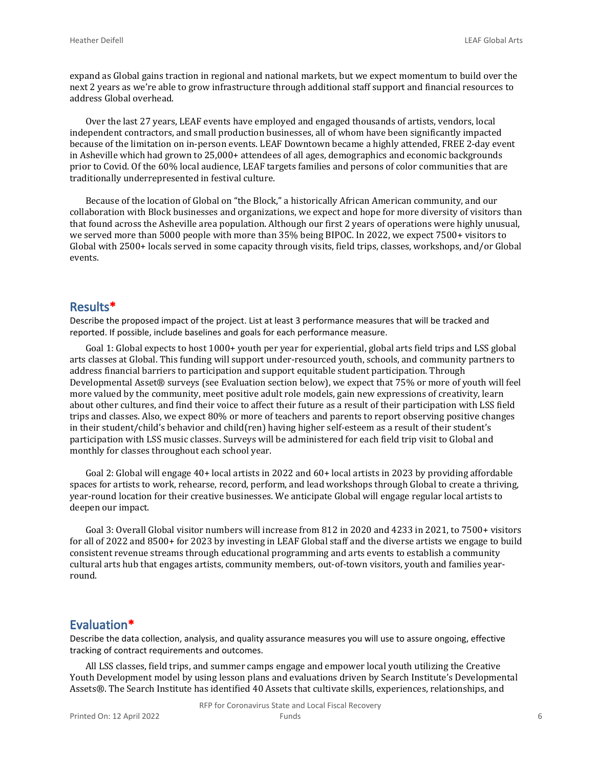expand as Global gains traction in regional and national markets, but we expect momentum to build over the next 2 years as we're able to grow infrastructure through additional staff support and financial resources to address Global overhead.

Over the last 27 years, LEAF events have employed and engaged thousands of artists, vendors, local independent contractors, and small production businesses, all of whom have been significantly impacted because of the limitation on in-person events. LEAF Downtown became a highly attended, FREE 2-day event in Asheville which had grown to 25,000+ attendees of all ages, demographics and economic backgrounds prior to Covid. Of the 60% local audience, LEAF targets families and persons of color communities that are traditionally underrepresented in festival culture.

Because of the location of Global on "the Block," a historically African American community, and our collaboration with Block businesses and organizations, we expect and hope for more diversity of visitors than that found across the Asheville area population. Although our first 2 years of operations were highly unusual, we served more than 5000 people with more than 35% being BIPOC. In 2022, we expect 7500+ visitors to Global with 2500+ locals served in some capacity through visits, field trips, classes, workshops, and/or Global events.

#### **Results\***

Describe the proposed impact of the project. List at least 3 performance measures that will be tracked and reported. If possible, include baselines and goals for each performance measure.

Goal 1: Global expects to host 1000+ youth per year for experiential, global arts field trips and LSS global arts classes at Global. This funding will support under-resourced youth, schools, and community partners to address financial barriers to participation and support equitable student participation. Through Developmental Asset® surveys (see Evaluation section below), we expect that 75% or more of youth will feel more valued by the community, meet positive adult role models, gain new expressions of creativity, learn about other cultures, and find their voice to affect their future as a result of their participation with LSS field trips and classes. Also, we expect 80% or more of teachers and parents to report observing positive changes in their student/child's behavior and child(ren) having higher self-esteem as a result of their student's participation with LSS music classes. Surveys will be administered for each field trip visit to Global and monthly for classes throughout each school year.

Goal 2: Global will engage 40+ local artists in 2022 and 60+ local artists in 2023 by providing affordable spaces for artists to work, rehearse, record, perform, and lead workshops through Global to create a thriving, year-round location for their creative businesses. We anticipate Global will engage regular local artists to deepen our impact.

Goal 3: Overall Global visitor numbers will increase from 812 in 2020 and 4233 in 2021, to 7500+ visitors for all of 2022 and 8500+ for 2023 by investing in LEAF Global staff and the diverse artists we engage to build consistent revenue streams through educational programming and arts events to establish a community cultural arts hub that engages artists, community members, out-of-town visitors, youth and families yearround.

#### **Evaluation\***

Describe the data collection, analysis, and quality assurance measures you will use to assure ongoing, effective tracking of contract requirements and outcomes.

All LSS classes, field trips, and summer camps engage and empower local youth utilizing the Creative Youth Development model by using lesson plans and evaluations driven by Search Institute's Developmental Assets®. The Search Institute has identified 40 Assets that cultivate skills, experiences, relationships, and

RFP for Coronavirus State and Local Fiscal Recovery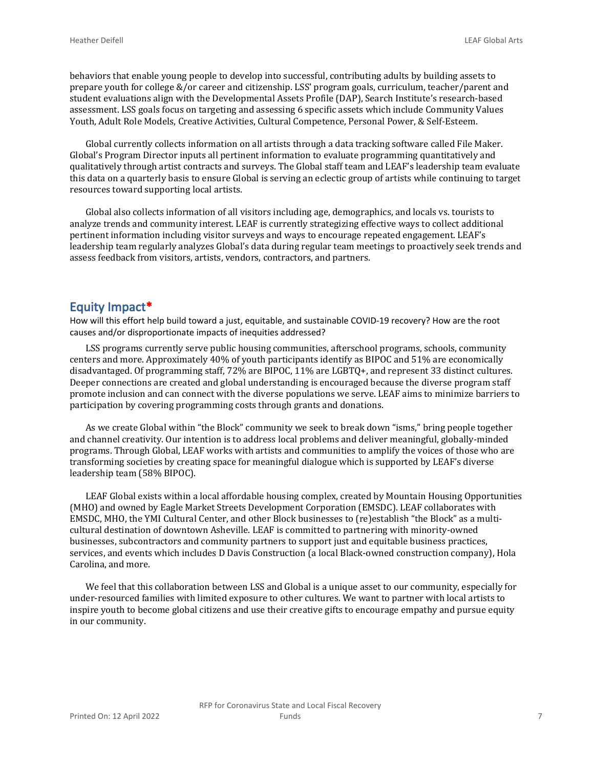behaviors that enable young people to develop into successful, contributing adults by building assets to prepare youth for college &/or career and citizenship. LSS' program goals, curriculum, teacher/parent and student evaluations align with the Developmental Assets Profile (DAP), Search Institute's research-based assessment. LSS goals focus on targeting and assessing 6 specific assets which include Community Values Youth, Adult Role Models, Creative Activities, Cultural Competence, Personal Power, & Self-Esteem.

Global currently collects information on all artists through a data tracking software called File Maker. Global's Program Director inputs all pertinent information to evaluate programming quantitatively and qualitatively through artist contracts and surveys. The Global staff team and LEAF's leadership team evaluate this data on a quarterly basis to ensure Global is serving an eclectic group of artists while continuing to target resources toward supporting local artists.

Global also collects information of all visitors including age, demographics, and locals vs. tourists to analyze trends and community interest. LEAF is currently strategizing effective ways to collect additional pertinent information including visitor surveys and ways to encourage repeated engagement. LEAF's leadership team regularly analyzes Global's data during regular team meetings to proactively seek trends and assess feedback from visitors, artists, vendors, contractors, and partners.

#### **Equity Impact\***

How will this effort help build toward a just, equitable, and sustainable COVID-19 recovery? How are the root causes and/or disproportionate impacts of inequities addressed?

LSS programs currently serve public housing communities, afterschool programs, schools, community centers and more. Approximately 40% of youth participants identify as BIPOC and 51% are economically disadvantaged. Of programming staff, 72% are BIPOC, 11% are LGBTQ+, and represent 33 distinct cultures. Deeper connections are created and global understanding is encouraged because the diverse program staff promote inclusion and can connect with the diverse populations we serve. LEAF aims to minimize barriers to participation by covering programming costs through grants and donations.

As we create Global within "the Block" community we seek to break down "isms," bring people together and channel creativity. Our intention is to address local problems and deliver meaningful, globally-minded programs. Through Global, LEAF works with artists and communities to amplify the voices of those who are transforming societies by creating space for meaningful dialogue which is supported by LEAF's diverse leadership team (58% BIPOC).

LEAF Global exists within a local affordable housing complex, created by Mountain Housing Opportunities (MHO) and owned by Eagle Market Streets Development Corporation (EMSDC). LEAF collaborates with EMSDC, MHO, the YMI Cultural Center, and other Block businesses to (re)establish "the Block" as a multicultural destination of downtown Asheville. LEAF is committed to partnering with minority-owned businesses, subcontractors and community partners to support just and equitable business practices, services, and events which includes D Davis Construction (a local Black-owned construction company), Hola Carolina, and more.

We feel that this collaboration between LSS and Global is a unique asset to our community, especially for under-resourced families with limited exposure to other cultures. We want to partner with local artists to inspire youth to become global citizens and use their creative gifts to encourage empathy and pursue equity in our community.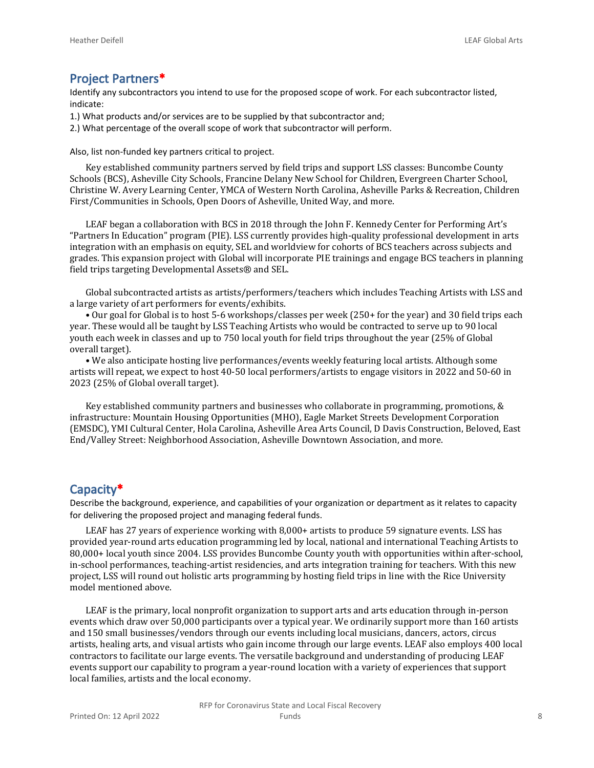#### **Project Partners\***

Identify any subcontractors you intend to use for the proposed scope of work. For each subcontractor listed, indicate:

- 1.) What products and/or services are to be supplied by that subcontractor and;
- 2.) What percentage of the overall scope of work that subcontractor will perform.

Also, list non-funded key partners critical to project.

Key established community partners served by field trips and support LSS classes: Buncombe County Schools (BCS), Asheville City Schools, Francine Delany New School for Children, Evergreen Charter School, Christine W. Avery Learning Center, YMCA of Western North Carolina, Asheville Parks & Recreation, Children First/Communities in Schools, Open Doors of Asheville, United Way, and more.

LEAF began a collaboration with BCS in 2018 through the John F. Kennedy Center for Performing Art's "Partners In Education" program (PIE). LSS currently provides high-quality professional development in arts integration with an emphasis on equity, SEL and worldview for cohorts of BCS teachers across subjects and grades. This expansion project with Global will incorporate PIE trainings and engage BCS teachers in planning field trips targeting Developmental Assets® and SEL.

Global subcontracted artists as artists/performers/teachers which includes Teaching Artists with LSS and a large variety of art performers for events/exhibits.

• Our goal for Global is to host 5-6 workshops/classes per week (250+ for the year) and 30 field trips each year. These would all be taught by LSS Teaching Artists who would be contracted to serve up to 90 local youth each week in classes and up to 750 local youth for field trips throughout the year (25% of Global overall target).

• We also anticipate hosting live performances/events weekly featuring local artists. Although some artists will repeat, we expect to host 40-50 local performers/artists to engage visitors in 2022 and 50-60 in 2023 (25% of Global overall target).

Key established community partners and businesses who collaborate in programming, promotions, & infrastructure: Mountain Housing Opportunities (MHO), Eagle Market Streets Development Corporation (EMSDC), YMI Cultural Center, Hola Carolina, Asheville Area Arts Council, D Davis Construction, Beloved, East End/Valley Street: Neighborhood Association, Asheville Downtown Association, and more.

#### **Capacity\***

Describe the background, experience, and capabilities of your organization or department as it relates to capacity for delivering the proposed project and managing federal funds.

LEAF has 27 years of experience working with 8,000+ artists to produce 59 signature events. LSS has provided year-round arts education programming led by local, national and international Teaching Artists to 80,000+ local youth since 2004. LSS provides Buncombe County youth with opportunities within after-school, in-school performances, teaching-artist residencies, and arts integration training for teachers. With this new project, LSS will round out holistic arts programming by hosting field trips in line with the Rice University model mentioned above.

LEAF is the primary, local nonprofit organization to support arts and arts education through in-person events which draw over 50,000 participants over a typical year. We ordinarily support more than 160 artists and 150 small businesses/vendors through our events including local musicians, dancers, actors, circus artists, healing arts, and visual artists who gain income through our large events. LEAF also employs 400 local contractors to facilitate our large events. The versatile background and understanding of producing LEAF events support our capability to program a year-round location with a variety of experiences that support local families, artists and the local economy.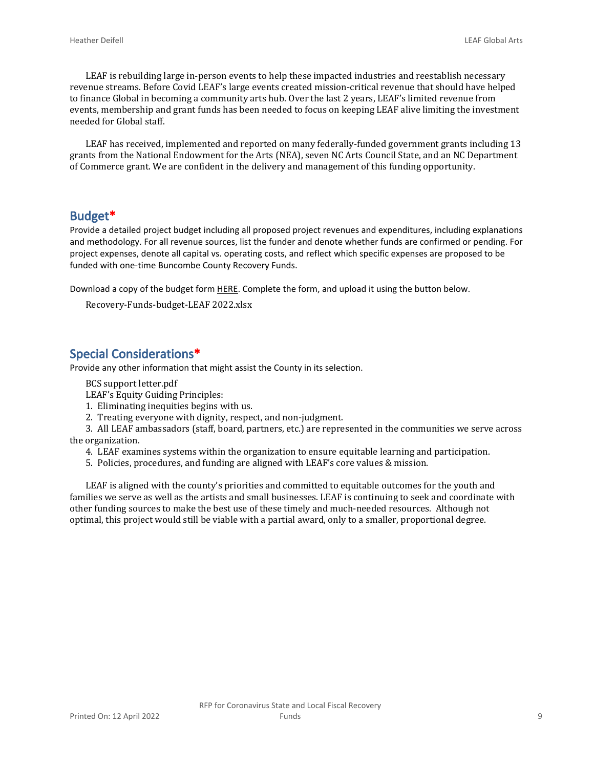LEAF is rebuilding large in-person events to help these impacted industries and reestablish necessary revenue streams. Before Covid LEAF's large events created mission-critical revenue that should have helped to finance Global in becoming a community arts hub. Over the last 2 years, LEAF's limited revenue from events, membership and grant funds has been needed to focus on keeping LEAF alive limiting the investment needed for Global staff.

LEAF has received, implemented and reported on many federally-funded government grants including 13 grants from the National Endowment for the Arts (NEA), seven NC Arts Council State, and an NC Department of Commerce grant. We are confident in the delivery and management of this funding opportunity.

#### **Budget\***

Provide a detailed project budget including all proposed project revenues and expenditures, including explanations and methodology. For all revenue sources, list the funder and denote whether funds are confirmed or pending. For project expenses, denote all capital vs. operating costs, and reflect which specific expenses are proposed to be funded with one-time Buncombe County Recovery Funds.

Download a copy of the budget form [HERE](https://buncombecounty.org/common/community-investment/grants/early-childhood-education/Recovery-Funds-budget-template.xlsx). Complete the form, and upload it using the button below.

Recovery-Funds-budget-LEAF 2022.xlsx

#### **Special Considerations\***

Provide any other information that might assist the County in its selection.

BCS support letter.pdf

LEAF's Equity Guiding Principles:

1. Eliminating inequities begins with us.

2. Treating everyone with dignity, respect, and non-judgment.

3. All LEAF ambassadors (staff, board, partners, etc.) are represented in the communities we serve across the organization.

- 4. LEAF examines systems within the organization to ensure equitable learning and participation.
- 5. Policies, procedures, and funding are aligned with LEAF's core values & mission.

LEAF is aligned with the county's priorities and committed to equitable outcomes for the youth and families we serve as well as the artists and small businesses. LEAF is continuing to seek and coordinate with other funding sources to make the best use of these timely and much-needed resources. Although not optimal, this project would still be viable with a partial award, only to a smaller, proportional degree.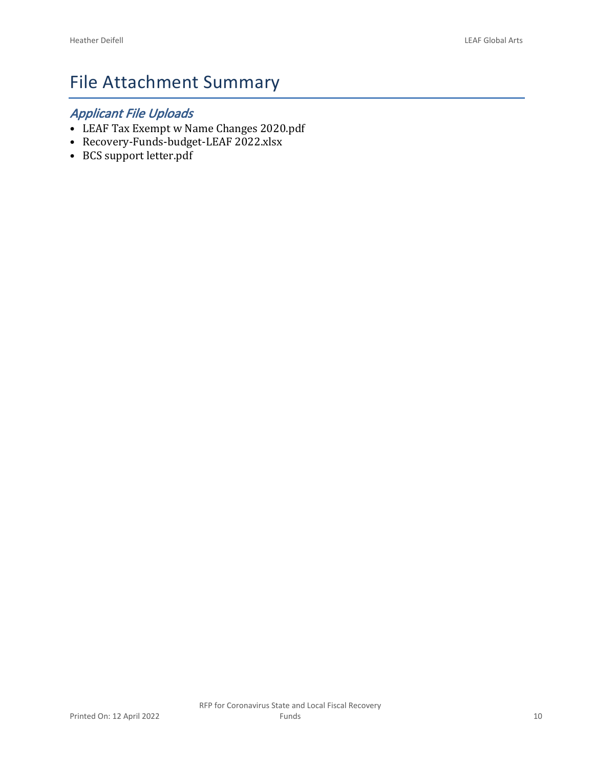# File Attachment Summary

## *Applicant File Uploads*

- LEAF Tax Exempt w Name Changes 2020.pdf
- Recovery-Funds-budget-LEAF 2022.xlsx
- BCS support letter.pdf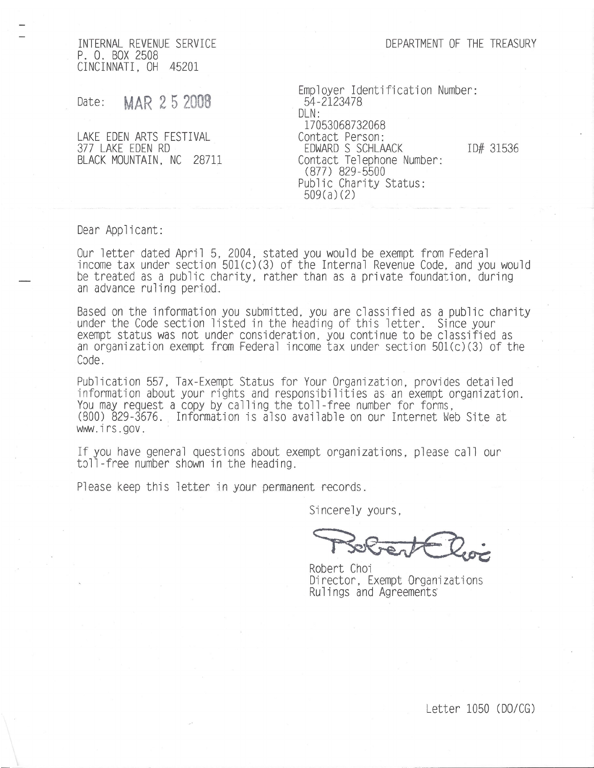DEPARTMENT OF THE TREASURY

INTERNAL REVENUE SERVICE P. O. BOX 2508 CINCINNATI, OH 45201

MAR 25 2008 Date:

LAKE EDEN ARTS FESTIVAL 377 LAKE EDEN RD BLACK MOUNTAIN, NC 28711 Employer Identification Number: 54-2123478  $D/N$ : 17053068732068 Contact Person: EDWARD S SCHLAACK Contact Telephone Number: (877) 829-5500 Public Charity Status:  $509(a)(2)$ 

ID# 31536

Dear Applicant:

Our letter dated April 5, 2004, stated you would be exempt from Federal income tax under section 501(c)(3) of the Internal Revenue Code, and you would be treated as a public charity, rather than as a private foundation, during an advance ruling period.

Based on the information you submitted, you are classified as a public charity under the Code section listed in the heading of this letter. Since your exempt status was not under consideration, you continue to be classified as an organization exempt from Federal income tax under section 501(c)(3) of the Code

Publication 557, Tax-Exempt Status for Your Organization, provides detailed information about your rights and responsibilities as an exempt organization.<br>You may request a copy by calling the toll-free number for forms, (800) 829-3676. Information is also available on our Internet Web Site at www.irs.gov.

If you have general questions about exempt organizations, please call our toll-free number shown in the heading.

Please keep this letter in your permanent records.

Sincerely yours.

Robert Choi Director, Exempt Organizations Rulings and Agreements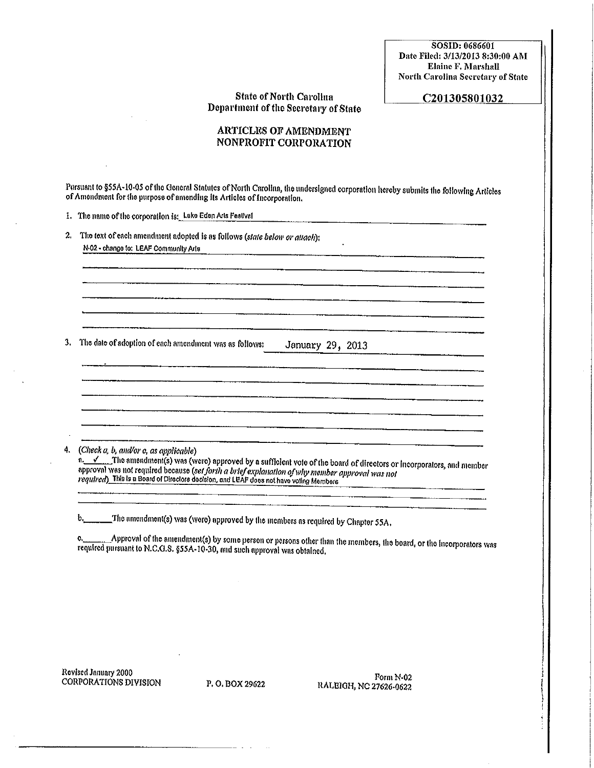SOSID: 0686601 Date Filed: 3/13/2013 8:30:00 AM Elaine F. Marshall **North Carolina Secretary of State** 

#### **State of North Carolina** Department of the Secretary of State

#### C201305801032

#### **ARTICLES OF AMENDMENT** NONPROFIT CORPORATION

Pursuant to §55A-10-05 of the General Statutes of North Carolina, the undersigned corporation hereby submits the following Articles of Amendment for the purpose of amending its Articles of Incorporation.

1. The name of the corporation is: Lake Eden Arts Festival

2. The text of each amendment adopted is as follows (state below or attach); N-02 - change to: LEAF Community Arts

3. The date of adoption of each amendment was as follows: January 29, 2013

4.  $(Check a, b, and/or c, as applicable)$ 

a. V The amendment(s) was (were) approved by a sufficient vote of the board of directors or incorporators, and member approval was not required because (set forth a brief explanation of why member approval was not required) This is a Board of Directors decision, and LEAF does not have voling Members

\_\_\_\_\_The amendment(s) was (wore) approved by the members as required by Chapter 55A.  $b_{\iota}$ 

Approval of the amendment(s) by some person or persons other than the members, the board, or the incorporators was ¢. required pursuant to N.C.G.S. §55A-10-30, and such approval was obtained.

Revised January 2000 CORPORATIONS DIVISION

P.O. BOX 29622

Form N-02 RALEIGH, NC 27626-0622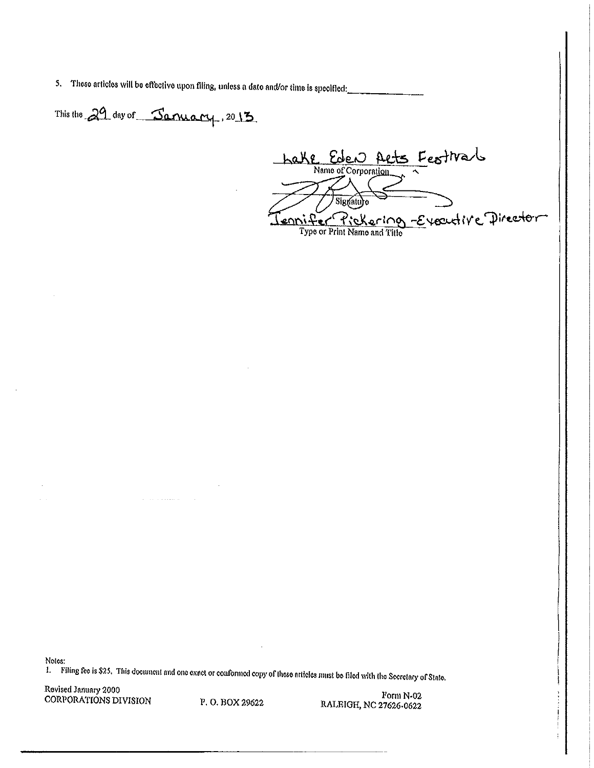5. These articles will be effective upon filing, unless a date and/or time is specified:

This the 29 day of January, 2013

 $\alpha$  , and  $\alpha$  , and  $\alpha$  , and  $\alpha$ 

<u>hake</u> Eden Arts Festival Tennifer Pickering Everytive Director

Notes:

1. Filing fee is \$25. This document and one exact or conformed copy of these articles must be filed with the Secretary of State.

Revised January 2000 CORPORATIONS DIVISION

P.O. BOX 29622

Form N-02 RALEIGH, NC 27626-0622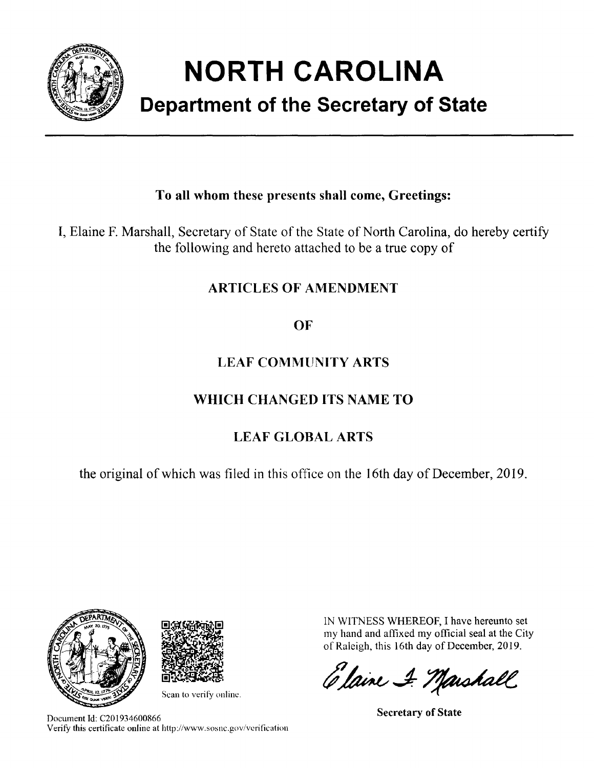

# **NORTH CAROLINA**

# **Department of the Secretary of State**

## To all whom these presents shall come, Greetings:

I, Elaine F. Marshall, Secretary of State of the State of North Carolina, do hereby certify the following and hereto attached to be a true copy of

## **ARTICLES OF AMENDMENT**

## OF

# **LEAF COMMUNITY ARTS**

# WHICH CHANGED ITS NAME TO

# **LEAF GLOBAL ARTS**

the original of which was filed in this office on the 16th day of December, 2019.





Scan to verify online.

Document Id: C201934600866 Verify this certificate online at http://www.sosnc.gov/verification IN WITNESS WHEREOF, I have hereunto set my hand and affixed my official seal at the City of Raleigh, this 16th day of December, 2019.

Elaine & Marshall

**Secretary of State**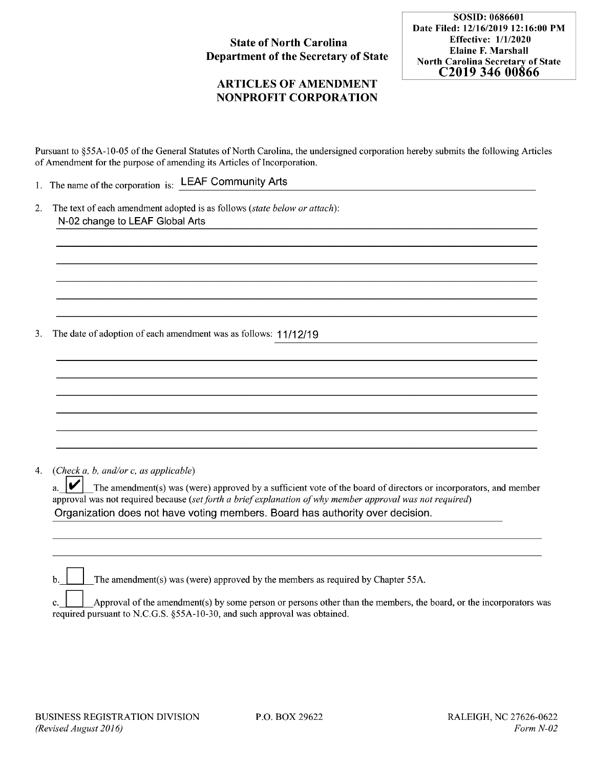#### **State of North Carolina Department of the Secretary of State**

#### **ARTICLES OF AMENDMENT NONPROFIT CORPORATION**

SOSID: 0686601 Date Filed: 12/16/2019 12:16:00 PM **Effective: 1/1/2020 Elaine F. Marshall North Carolina Secretary of State** C<sub>2019</sub> 346 00866

Pursuant to \$55A-10-05 of the General Statutes of North Carolina, the undersigned corporation hereby submits the following Articles of Amendment for the purpose of amending its Articles of Incorporation.

1. The name of the corporation is: LEAF Community Arts

2. The text of each amendment adopted is as follows (state below or attach): N-02 change to LEAF Global Arts

The date of adoption of each amendment was as follows: 11/12/19 3.

(Check  $a, b, and/or c, as applicable$ )  $4.$ 

> V The amendment(s) was (were) approved by a sufficient vote of the board of directors or incorporators, and member  $a<sub>z</sub>$ approval was not required because (set forth a brief explanation of why member approval was not required) Organization does not have voting members. Board has authority over decision.

The amendment(s) was (were) approved by the members as required by Chapter 55A. h

Approval of the amendment(s) by some person or persons other than the members, the board, or the incorporators was required pursuant to N.C.G.S. §55A-10-30, and such approval was obtained.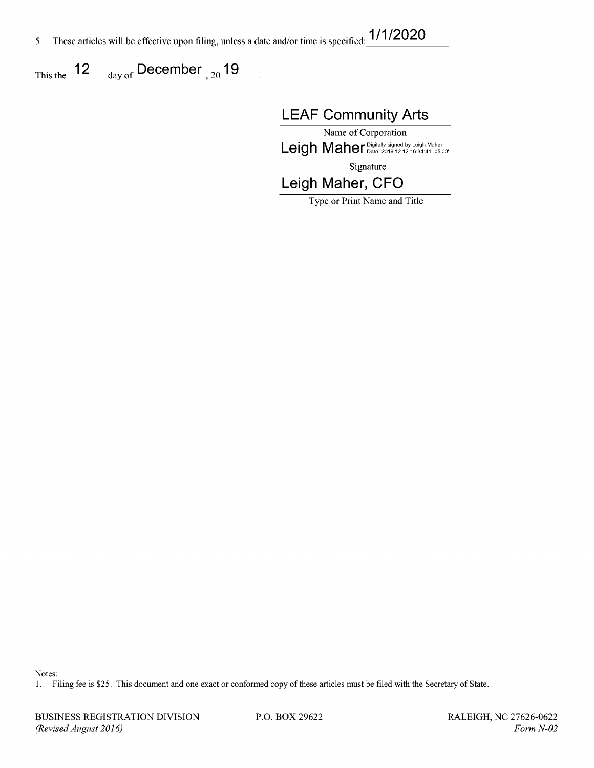These articles will be effective upon filing, unless a date and/or time is specified: 1/1/2020 5.

This the  $\frac{12}{\text{day of}}$  day of December , 20  $\frac{19}{\text{day of}}$ 

**LEAF Community Arts** 

Name of Corporation Leigh Maher Digitally signed by Leigh Maher

Signature

Leigh Maher, CFO

Type or Print Name and Title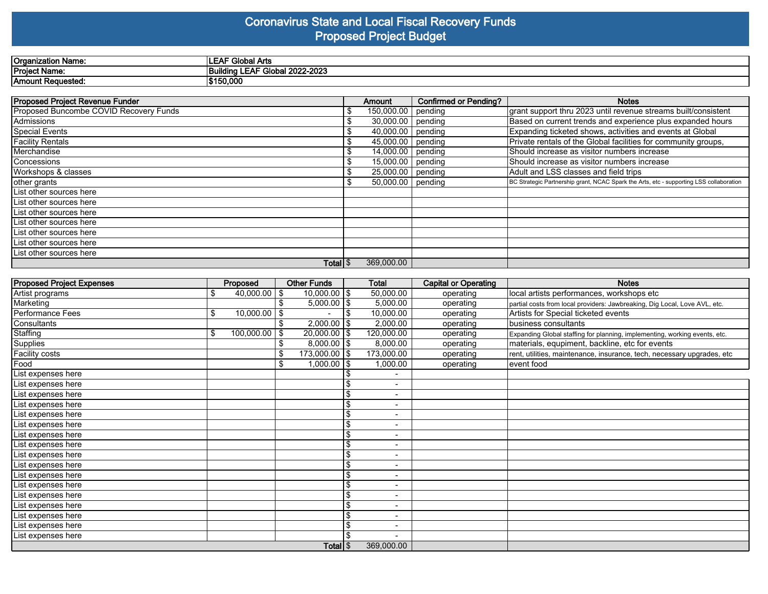#### **Coronavirus State and Local Fiscal Recovery Funds Proposed Project Budget**

| Organization Name: | <sup>⊸เ</sup> วba∟.<br>Arts<br>^-     |
|--------------------|---------------------------------------|
| Project Name:      | Global 2022-2023<br>EAL<br>lina<br>-- |
| Amount Requested:  | 50.000<br>\$15                        |

| <b>Proposed Project Revenue Funder</b> | Amount                         | <b>Confirmed or Pending?</b> | <b>Notes</b>                                                                            |
|----------------------------------------|--------------------------------|------------------------------|-----------------------------------------------------------------------------------------|
| Proposed Buncombe COVID Recovery Funds | 150,000.00   pending           |                              | grant support thru 2023 until revenue streams built/consistent                          |
| Admissions                             | 30,000.00 pending              |                              | Based on current trends and experience plus expanded hours                              |
| Special Events                         | 40,000.00 pending              |                              | Expanding ticketed shows, activities and events at Global                               |
| <b>Facility Rentals</b>                | $\overline{45,000.00}$ pending |                              | Private rentals of the Global facilities for community groups,                          |
| Merchandise                            | \$<br>14,000.00 $ $ pending    |                              | Should increase as visitor numbers increase                                             |
| l Concessions                          | 15,000.00 $ $ pending          |                              | Should increase as visitor numbers increase                                             |
| Workshops & classes                    | 25,000.00 pending              |                              | Adult and LSS classes and field trips                                                   |
| other grants                           | 50,000.00 pending              |                              | BC Strategic Partnership grant, NCAC Spark the Arts, etc - supporting LSS collaboration |
| List other sources here                |                                |                              |                                                                                         |
| List other sources here                |                                |                              |                                                                                         |
| List other sources here                |                                |                              |                                                                                         |
| List other sources here                |                                |                              |                                                                                         |
| List other sources here                |                                |                              |                                                                                         |
| List other sources here                |                                |                              |                                                                                         |
| List other sources here                |                                |                              |                                                                                         |
| Total $\frac{1}{3}$                    | 369,000.00                     |                              |                                                                                         |

| <b>Proposed Project Expenses</b> |    | Proposed         |  | <b>Other Funds</b> |    | Total                    | <b>Capital or Operating</b> | <b>Notes</b>                                                               |
|----------------------------------|----|------------------|--|--------------------|----|--------------------------|-----------------------------|----------------------------------------------------------------------------|
| Artist programs                  | \$ | $40,000.00$ \$   |  | $10,000.00$   \$   |    | 50,000.00                | operating                   | local artists performances, workshops etc                                  |
| Marketing                        |    |                  |  | $5,000.00$   \$    |    | 5,000.00                 | operating                   | partial costs from local providers: Jawbreaking, Dig Local, Love AVL, etc. |
| Performance Fees                 | \$ | $10,000.00$ \$   |  |                    |    | 10,000.00                | operating                   | Artists for Special ticketed events                                        |
| Consultants                      |    |                  |  | $2,000.00$ \\$     |    | 2,000.00                 | operating                   | business consultants                                                       |
| Staffing                         | \$ | $100,000.00$ \\$ |  | $20,000.00$   \$   |    | 120,000.00               | operating                   | Expanding Global staffing for planning, implementing, working events, etc. |
| Supplies                         |    |                  |  | $8,000.00$   \$    |    | 8,000.00                 | operating                   | materials, equpiment, backline, etc for events                             |
| <b>Facility costs</b>            |    |                  |  | 173,000.00   \$    |    | 173,000.00               | operating                   | rent, utilities, maintenance, insurance, tech, necessary upgrades, etc     |
| Food                             |    |                  |  | $1,000.00$ \\$     |    | 1,000.00                 | operating                   | event food                                                                 |
| List expenses here               |    |                  |  |                    |    | $\blacksquare$           |                             |                                                                            |
| List expenses here               |    |                  |  |                    |    |                          |                             |                                                                            |
| List expenses here               |    |                  |  |                    | \$ | $\sim$                   |                             |                                                                            |
| List expenses here               |    |                  |  |                    | \$ |                          |                             |                                                                            |
| List expenses here               |    |                  |  |                    | \$ | $\overline{\phantom{0}}$ |                             |                                                                            |
| List expenses here               |    |                  |  |                    | \$ |                          |                             |                                                                            |
| List expenses here               |    |                  |  |                    |    | $\overline{\phantom{a}}$ |                             |                                                                            |
| List expenses here               |    |                  |  |                    | \$ | $\overline{\phantom{a}}$ |                             |                                                                            |
| List expenses here               |    |                  |  |                    | \$ | $\overline{\phantom{0}}$ |                             |                                                                            |
| List expenses here               |    |                  |  |                    | \$ |                          |                             |                                                                            |
| List expenses here               |    |                  |  |                    | \$ | $\overline{\phantom{0}}$ |                             |                                                                            |
| List expenses here               |    |                  |  |                    | \$ | $\overline{\phantom{a}}$ |                             |                                                                            |
| List expenses here               |    |                  |  |                    | \$ |                          |                             |                                                                            |
| List expenses here               |    |                  |  |                    | \$ | $\overline{\phantom{0}}$ |                             |                                                                            |
| List expenses here               |    |                  |  |                    | \$ |                          |                             |                                                                            |
| List expenses here               |    |                  |  |                    | \$ | $\sim$                   |                             |                                                                            |
| List expenses here               |    |                  |  |                    |    |                          |                             |                                                                            |
| Total $\frac{1}{3}$              |    |                  |  |                    |    | 369,000.00               |                             |                                                                            |